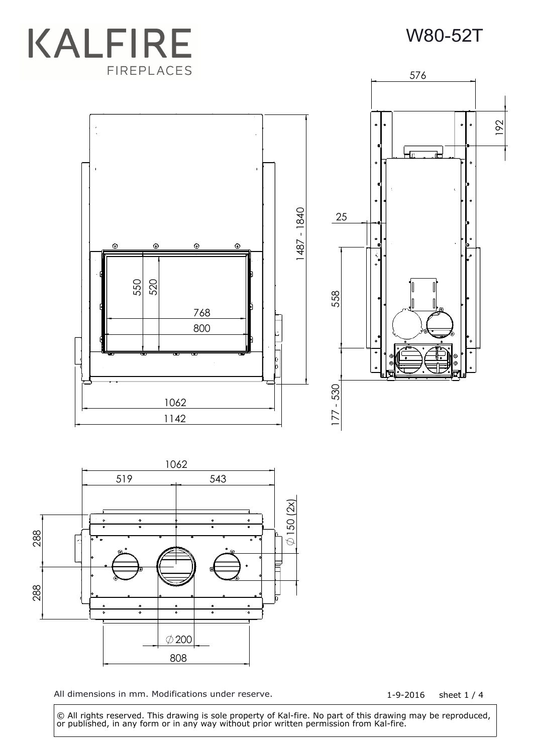## **KALFIRE FIREPLACES**

#### W80-52T





All dimensions in mm. Modifications under reserve.

1-9-2016 sheet 1 / 4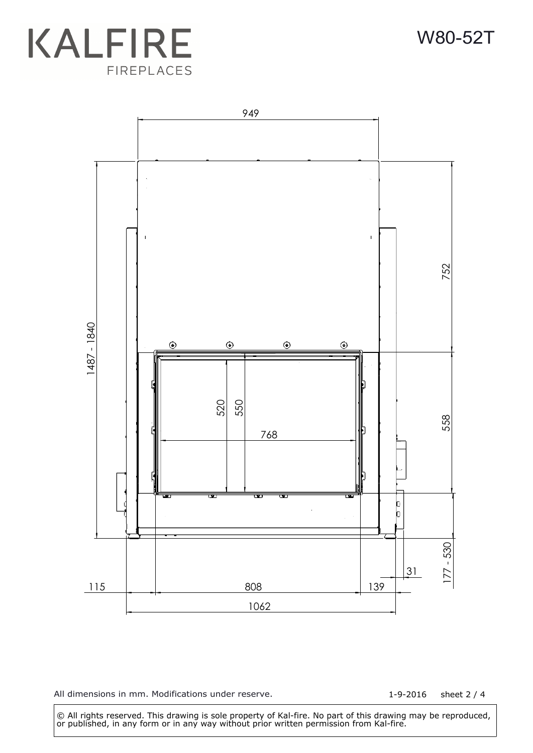## **KALFIRE FIREPLACES**



All dimensions in mm. Modifications under reserve.

1-9-2016 sheet 2 / 4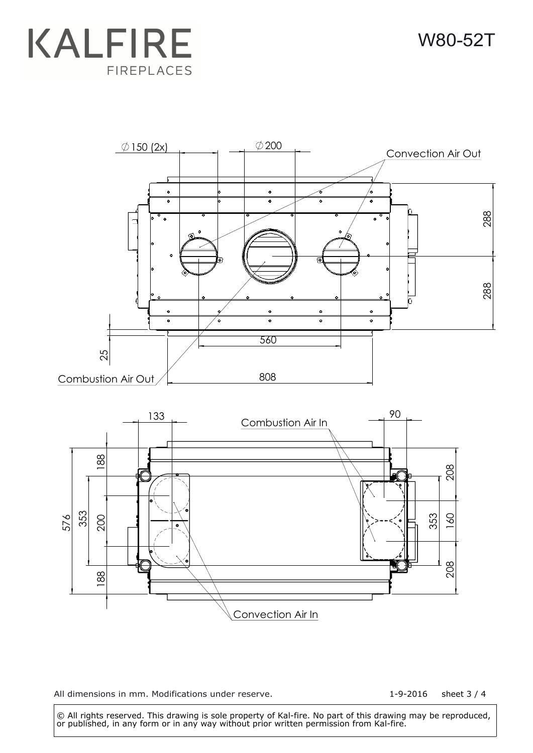#### W80-52T

# KALFIRE **FIREPLACES**



All dimensions in mm. Modifications under reserve.

1-9-2016 sheet 3 / 4